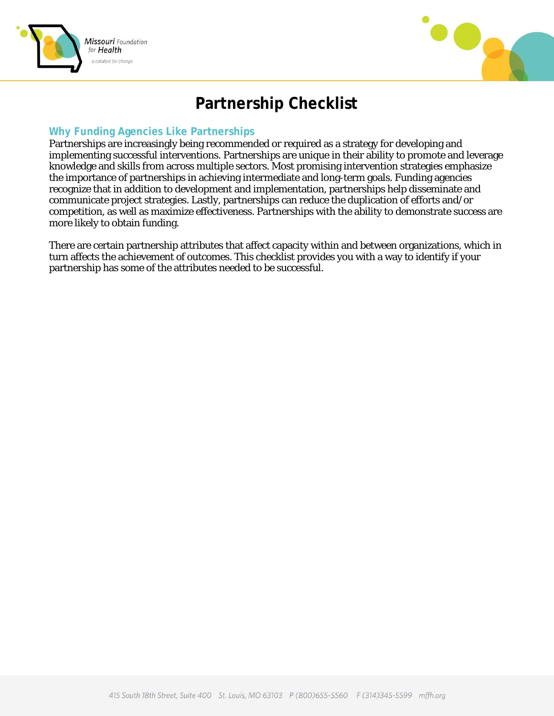



## **Partnership Checklist**

## **Why Funding Agencies Like Partnerships**

Partnerships are increasingly being recommended or required as a strategy for developing and implementing successful interventions. Partnerships are unique in their ability to promote and leverage knowledge and skills from across multiple sectors. Most promising intervention strategies emphasize the importance of partnerships in achieving intermediate and long-term goals. Funding agencies recognize that in addition to development and implementation, partnerships help disseminate and communicate project strategies. Lastly, partnerships can reduce the duplication of efforts and/or competition, as well as maximize effectiveness. Partnerships with the ability to demonstrate success are more likely to obtain funding.

There are certain partnership attributes that affect capacity within and between organizations, which in turn affects the achievement of outcomes. This checklist provides you with a way to identify if your partnership has some of the attributes needed to be successful.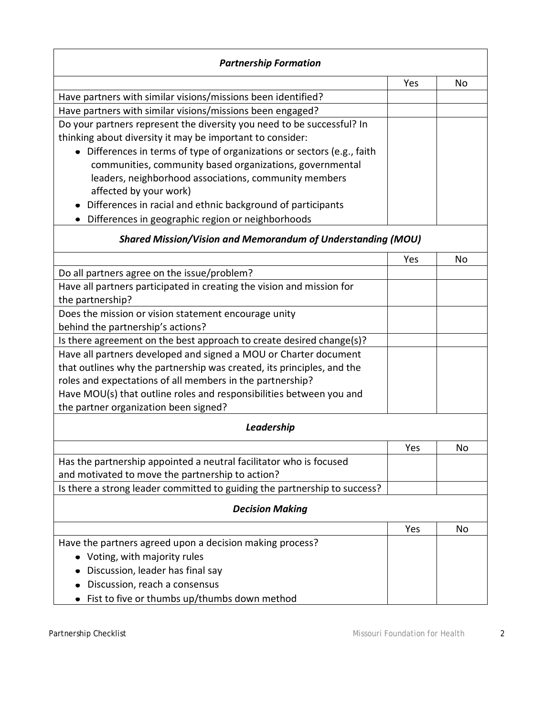| <b>Partnership Formation</b>                                              |     |    |  |
|---------------------------------------------------------------------------|-----|----|--|
|                                                                           | Yes | No |  |
| Have partners with similar visions/missions been identified?              |     |    |  |
| Have partners with similar visions/missions been engaged?                 |     |    |  |
| Do your partners represent the diversity you need to be successful? In    |     |    |  |
| thinking about diversity it may be important to consider:                 |     |    |  |
| • Differences in terms of type of organizations or sectors (e.g., faith   |     |    |  |
| communities, community based organizations, governmental                  |     |    |  |
| leaders, neighborhood associations, community members                     |     |    |  |
| affected by your work)                                                    |     |    |  |
| Differences in racial and ethnic background of participants               |     |    |  |
| Differences in geographic region or neighborhoods                         |     |    |  |
| <b>Shared Mission/Vision and Memorandum of Understanding (MOU)</b>        |     |    |  |
|                                                                           | Yes | No |  |
| Do all partners agree on the issue/problem?                               |     |    |  |
| Have all partners participated in creating the vision and mission for     |     |    |  |
| the partnership?                                                          |     |    |  |
| Does the mission or vision statement encourage unity                      |     |    |  |
| behind the partnership's actions?                                         |     |    |  |
| Is there agreement on the best approach to create desired change(s)?      |     |    |  |
| Have all partners developed and signed a MOU or Charter document          |     |    |  |
| that outlines why the partnership was created, its principles, and the    |     |    |  |
| roles and expectations of all members in the partnership?                 |     |    |  |
| Have MOU(s) that outline roles and responsibilities between you and       |     |    |  |
| the partner organization been signed?                                     |     |    |  |
| Leadership                                                                |     |    |  |
|                                                                           | Yes | No |  |
| Has the partnership appointed a neutral facilitator who is focused        |     |    |  |
| and motivated to move the partnership to action?                          |     |    |  |
| Is there a strong leader committed to guiding the partnership to success? |     |    |  |
| <b>Decision Making</b>                                                    |     |    |  |
|                                                                           | Yes | No |  |
| Have the partners agreed upon a decision making process?                  |     |    |  |
| Voting, with majority rules                                               |     |    |  |
| Discussion, leader has final say                                          |     |    |  |
| Discussion, reach a consensus                                             |     |    |  |
| Fist to five or thumbs up/thumbs down method                              |     |    |  |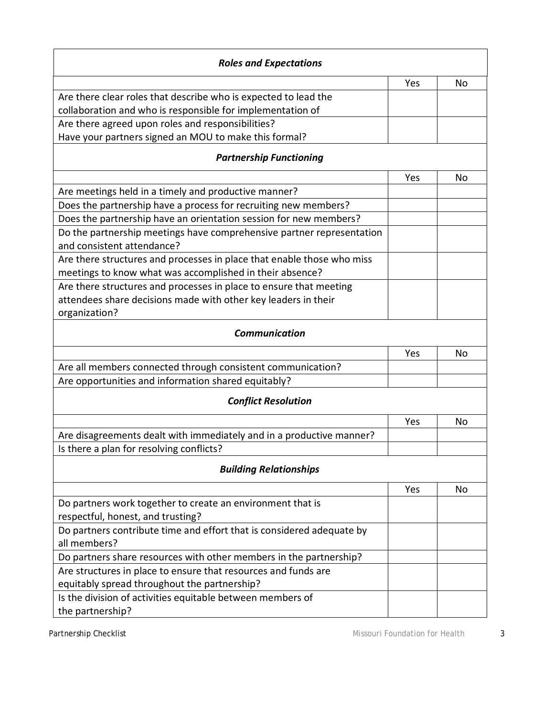| <b>Roles and Expectations</b>                                                                       |     |     |  |
|-----------------------------------------------------------------------------------------------------|-----|-----|--|
|                                                                                                     | Yes | No. |  |
| Are there clear roles that describe who is expected to lead the                                     |     |     |  |
| collaboration and who is responsible for implementation of                                          |     |     |  |
| Are there agreed upon roles and responsibilities?                                                   |     |     |  |
| Have your partners signed an MOU to make this formal?                                               |     |     |  |
| <b>Partnership Functioning</b>                                                                      |     |     |  |
|                                                                                                     | Yes | No  |  |
| Are meetings held in a timely and productive manner?                                                |     |     |  |
| Does the partnership have a process for recruiting new members?                                     |     |     |  |
| Does the partnership have an orientation session for new members?                                   |     |     |  |
| Do the partnership meetings have comprehensive partner representation<br>and consistent attendance? |     |     |  |
| Are there structures and processes in place that enable those who miss                              |     |     |  |
| meetings to know what was accomplished in their absence?                                            |     |     |  |
| Are there structures and processes in place to ensure that meeting                                  |     |     |  |
| attendees share decisions made with other key leaders in their                                      |     |     |  |
| organization?                                                                                       |     |     |  |
| <b>Communication</b>                                                                                |     |     |  |
|                                                                                                     | Yes | No  |  |
| Are all members connected through consistent communication?                                         |     |     |  |
| Are opportunities and information shared equitably?                                                 |     |     |  |
| <b>Conflict Resolution</b>                                                                          |     |     |  |
|                                                                                                     | Yes | No  |  |
| Are disagreements dealt with immediately and in a productive manner?                                |     |     |  |
| Is there a plan for resolving conflicts?                                                            |     |     |  |
| <b>Building Relationships</b>                                                                       |     |     |  |
|                                                                                                     | Yes | No  |  |
| Do partners work together to create an environment that is<br>respectful, honest, and trusting?     |     |     |  |
| Do partners contribute time and effort that is considered adequate by                               |     |     |  |
| all members?                                                                                        |     |     |  |
| Do partners share resources with other members in the partnership?                                  |     |     |  |
| Are structures in place to ensure that resources and funds are                                      |     |     |  |
| equitably spread throughout the partnership?                                                        |     |     |  |
| Is the division of activities equitable between members of<br>the partnership?                      |     |     |  |